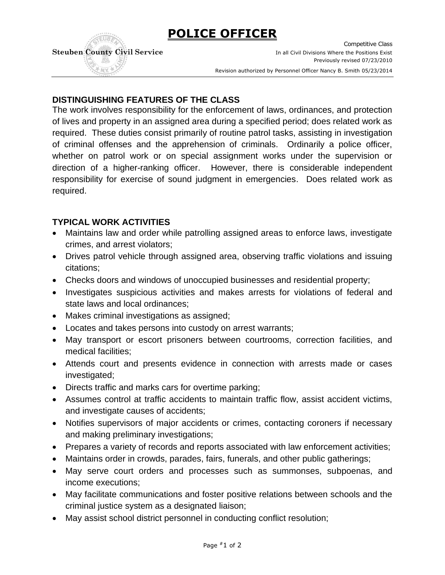**POLICE OFFICER**



Competitive Class **Steuben County Civil Service In all Civil Divisions Where the Positions Exist** Previously revised 07/23/2010 . Revision authorized by Personnel Officer Nancy B. Smith 05/23/2014

# **DISTINGUISHING FEATURES OF THE CLASS**

The work involves responsibility for the enforcement of laws, ordinances, and protection of lives and property in an assigned area during a specified period; does related work as required. These duties consist primarily of routine patrol tasks, assisting in investigation of criminal offenses and the apprehension of criminals. Ordinarily a police officer, whether on patrol work or on special assignment works under the supervision or direction of a higher-ranking officer. However, there is considerable independent responsibility for exercise of sound judgment in emergencies. Does related work as required.

#### **TYPICAL WORK ACTIVITIES**

- Maintains law and order while patrolling assigned areas to enforce laws, investigate crimes, and arrest violators;
- Drives patrol vehicle through assigned area, observing traffic violations and issuing citations;
- Checks doors and windows of unoccupied businesses and residential property;
- Investigates suspicious activities and makes arrests for violations of federal and state laws and local ordinances;
- Makes criminal investigations as assigned;
- Locates and takes persons into custody on arrest warrants;
- May transport or escort prisoners between courtrooms, correction facilities, and medical facilities;
- Attends court and presents evidence in connection with arrests made or cases investigated;
- Directs traffic and marks cars for overtime parking;
- Assumes control at traffic accidents to maintain traffic flow, assist accident victims, and investigate causes of accidents;
- Notifies supervisors of major accidents or crimes, contacting coroners if necessary and making preliminary investigations;
- Prepares a variety of records and reports associated with law enforcement activities;
- Maintains order in crowds, parades, fairs, funerals, and other public gatherings;
- May serve court orders and processes such as summonses, subpoenas, and income executions;
- May facilitate communications and foster positive relations between schools and the criminal justice system as a designated liaison;
- May assist school district personnel in conducting conflict resolution;